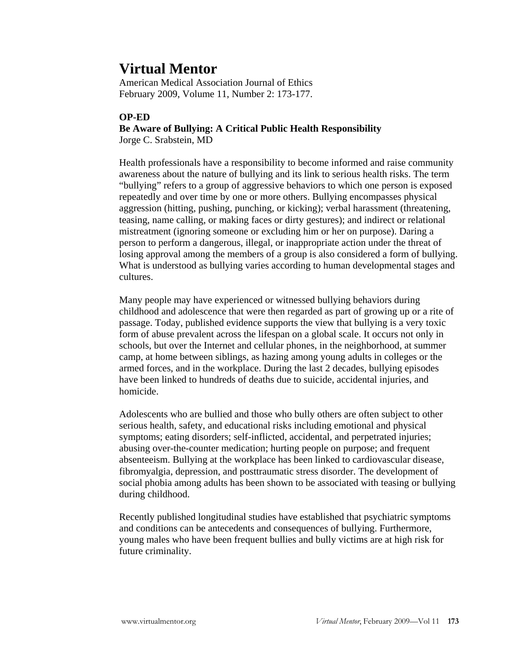## **Virtual Mentor**

American Medical Association Journal of Ethics February 2009, Volume 11, Number 2: 173-177.

## **OP-ED**

**Be Aware of Bullying: A Critical Public Health Responsibility**  Jorge C. Srabstein, MD

Health professionals have a responsibility to become informed and raise community awareness about the nature of bullying and its link to serious health risks. The term "bullying" refers to a group of aggressive behaviors to which one person is exposed repeatedly and over time by one or more others. Bullying encompasses physical aggression (hitting, pushing, punching, or kicking); verbal harassment (threatening, teasing, name calling, or making faces or dirty gestures); and indirect or relational mistreatment (ignoring someone or excluding him or her on purpose). Daring a person to perform a dangerous, illegal, or inappropriate action under the threat of losing approval among the members of a group is also considered a form of bullying. What is understood as bullying varies according to human developmental stages and cultures.

Many people may have experienced or witnessed bullying behaviors during childhood and adolescence that were then regarded as part of growing up or a rite of passage. Today, published evidence supports the view that bullying is a very toxic form of abuse prevalent across the lifespan on a global scale. It occurs not only in schools, but over the Internet and cellular phones, in the neighborhood, at summer camp, at home between siblings, as hazing among young adults in colleges or the armed forces, and in the workplace. During the last 2 decades, bullying episodes have been linked to hundreds of deaths due to suicide, accidental injuries, and homicide.

Adolescents who are bullied and those who bully others are often subject to other serious health, safety, and educational risks including emotional and physical symptoms; eating disorders; self-inflicted, accidental, and perpetrated injuries; abusing over-the-counter medication; hurting people on purpose; and frequent absenteeism. Bullying at the workplace has been linked to cardiovascular disease, fibromyalgia, depression, and posttraumatic stress disorder. The development of social phobia among adults has been shown to be associated with teasing or bullying during childhood.

Recently published longitudinal studies have established that psychiatric symptoms and conditions can be antecedents and consequences of bullying. Furthermore, young males who have been frequent bullies and bully victims are at high risk for future criminality.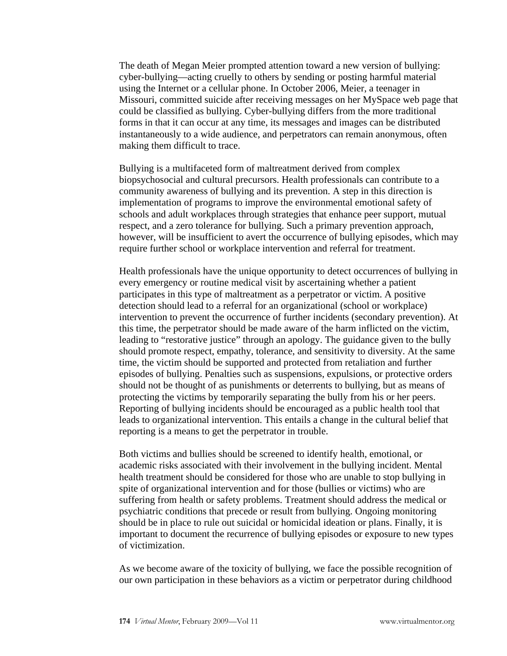The death of Megan Meier prompted attention toward a new version of bullying: cyber-bullying—acting cruelly to others by sending or posting harmful material using the Internet or a cellular phone. In October 2006, Meier, a teenager in Missouri, committed suicide after receiving messages on her MySpace web page that could be classified as bullying. Cyber-bullying differs from the more traditional forms in that it can occur at any time, its messages and images can be distributed instantaneously to a wide audience, and perpetrators can remain anonymous, often making them difficult to trace.

Bullying is a multifaceted form of maltreatment derived from complex biopsychosocial and cultural precursors. Health professionals can contribute to a community awareness of bullying and its prevention. A step in this direction is implementation of programs to improve the environmental emotional safety of schools and adult workplaces through strategies that enhance peer support, mutual respect, and a zero tolerance for bullying. Such a primary prevention approach, however, will be insufficient to avert the occurrence of bullying episodes, which may require further school or workplace intervention and referral for treatment.

Health professionals have the unique opportunity to detect occurrences of bullying in every emergency or routine medical visit by ascertaining whether a patient participates in this type of maltreatment as a perpetrator or victim. A positive detection should lead to a referral for an organizational (school or workplace) intervention to prevent the occurrence of further incidents (secondary prevention). At this time, the perpetrator should be made aware of the harm inflicted on the victim, leading to "restorative justice" through an apology. The guidance given to the bully should promote respect, empathy, tolerance, and sensitivity to diversity. At the same time, the victim should be supported and protected from retaliation and further episodes of bullying. Penalties such as suspensions, expulsions, or protective orders should not be thought of as punishments or deterrents to bullying, but as means of protecting the victims by temporarily separating the bully from his or her peers. Reporting of bullying incidents should be encouraged as a public health tool that leads to organizational intervention. This entails a change in the cultural belief that reporting is a means to get the perpetrator in trouble.

Both victims and bullies should be screened to identify health, emotional, or academic risks associated with their involvement in the bullying incident. Mental health treatment should be considered for those who are unable to stop bullying in spite of organizational intervention and for those (bullies or victims) who are suffering from health or safety problems. Treatment should address the medical or psychiatric conditions that precede or result from bullying. Ongoing monitoring should be in place to rule out suicidal or homicidal ideation or plans. Finally, it is important to document the recurrence of bullying episodes or exposure to new types of victimization.

As we become aware of the toxicity of bullying, we face the possible recognition of our own participation in these behaviors as a victim or perpetrator during childhood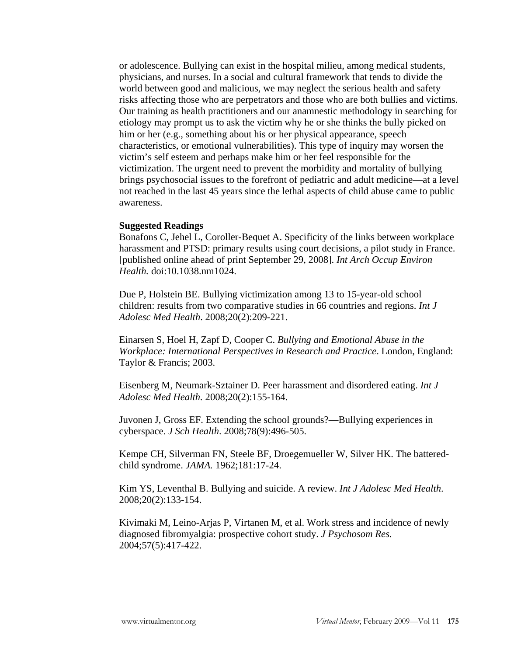or adolescence. Bullying can exist in the hospital milieu, among medical students, physicians, and nurses. In a social and cultural framework that tends to divide the world between good and malicious, we may neglect the serious health and safety risks affecting those who are perpetrators and those who are both bullies and victims. Our training as health practitioners and our anamnestic methodology in searching for etiology may prompt us to ask the victim why he or she thinks the bully picked on him or her (e.g., something about his or her physical appearance, speech characteristics, or emotional vulnerabilities). This type of inquiry may worsen the victim's self esteem and perhaps make him or her feel responsible for the victimization. The urgent need to prevent the morbidity and mortality of bullying brings psychosocial issues to the forefront of pediatric and adult medicine—at a level not reached in the last 45 years since the lethal aspects of child abuse came to public awareness.

## **Suggested Readings**

Bonafons C, Jehel L, Coroller-Bequet A. Specificity of the links between workplace harassment and PTSD: primary results using court decisions, a pilot study in France. [published online ahead of print September 29, 2008]. *Int Arch Occup Environ Health.* doi:10.1038.nm1024.

Due P, Holstein BE. Bullying victimization among 13 to 15-year-old school children: results from two comparative studies in 66 countries and regions. *Int J Adolesc Med Health*. 2008;20(2):209-221.

Einarsen S, Hoel H, Zapf D, Cooper C. *Bullying and Emotional Abuse in the Workplace: International Perspectives in Research and Practice*. London, England: Taylor & Francis; 2003.

Eisenberg M, Neumark-Sztainer D. Peer harassment and disordered eating. *Int J Adolesc Med Health.* 2008;20(2):155-164.

Juvonen J, Gross EF. Extending the school grounds?—Bullying experiences in cyberspace. *J Sch Health*. 2008;78(9):496-505.

Kempe CH, Silverman FN, Steele BF, Droegemueller W, Silver HK. The batteredchild syndrome. *JAMA.* 1962;181:17-24.

Kim YS, Leventhal B. Bullying and suicide. A review. *Int J Adolesc Med Health*. 2008;20(2):133-154.

Kivimaki M, Leino-Arjas P, Virtanen M, et al. Work stress and incidence of newly diagnosed fibromyalgia: prospective cohort study. *J Psychosom Res.* 2004;57(5):417-422.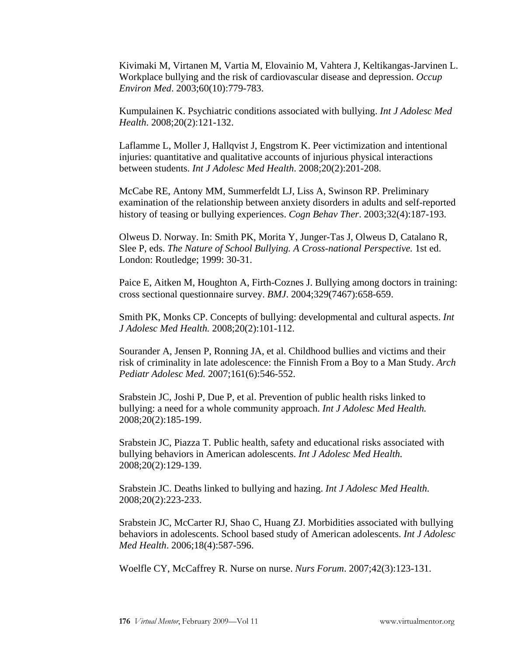Kivimaki M, Virtanen M, Vartia M, Elovainio M, Vahtera J, Keltikangas-Jarvinen L. Workplace bullying and the risk of cardiovascular disease and depression. *Occup Environ Med*. 2003;60(10):779-783.

Kumpulainen K. Psychiatric conditions associated with bullying. *Int J Adolesc Med Health*. 2008;20(2):121-132.

Laflamme L, Moller J, Hallqvist J, Engstrom K. Peer victimization and intentional injuries: quantitative and qualitative accounts of injurious physical interactions between students. *Int J Adolesc Med Health*. 2008;20(2):201-208.

McCabe RE, Antony MM, Summerfeldt LJ, Liss A, Swinson RP. Preliminary examination of the relationship between anxiety disorders in adults and self-reported history of teasing or bullying experiences. *Cogn Behav Ther*. 2003;32(4):187-193.

Olweus D. Norway. In: Smith PK, Morita Y, Junger-Tas J, Olweus D, Catalano R, Slee P, eds. *The Nature of School Bullying. A Cross-national Perspective.* 1st ed. London: Routledge; 1999: 30-31.

Paice E, Aitken M, Houghton A, Firth-Coznes J. Bullying among doctors in training: cross sectional questionnaire survey. *BMJ*. 2004;329(7467):658-659.

Smith PK, Monks CP. Concepts of bullying: developmental and cultural aspects. *Int J Adolesc Med Health.* 2008;20(2):101-112.

Sourander A, Jensen P, Ronning JA, et al. Childhood bullies and victims and their risk of criminality in late adolescence: the Finnish From a Boy to a Man Study. *Arch Pediatr Adolesc Med.* 2007;161(6):546-552.

Srabstein JC, Joshi P, Due P, et al. Prevention of public health risks linked to bullying: a need for a whole community approach. *Int J Adolesc Med Health.* 2008;20(2):185-199.

Srabstein JC, Piazza T. Public health, safety and educational risks associated with bullying behaviors in American adolescents. *Int J Adolesc Med Health.*  2008;20(2):129-139.

Srabstein JC. Deaths linked to bullying and hazing. *Int J Adolesc Med Health.* 2008;20(2):223-233.

Srabstein JC, McCarter RJ, Shao C, Huang ZJ. Morbidities associated with bullying behaviors in adolescents. School based study of American adolescents. *Int J Adolesc Med Health*. 2006;18(4):587-596.

Woelfle CY, McCaffrey R. Nurse on nurse. *Nurs Forum*. 2007;42(3):123-131.